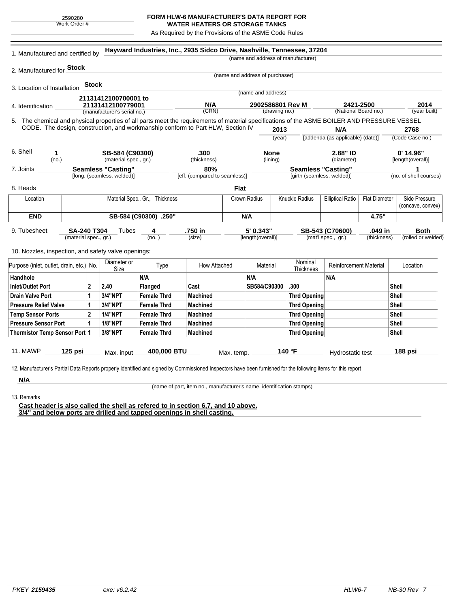## **FORM HLW-6 MANUFACTURER'S DATA REPORT FOR WATER HEATERS OR STORAGE TANKS**

As Required by the Provisions of the ASME Code Rules

| 2. Manufactured for Stock<br>(name and address of purchaser)<br><b>Stock</b><br>3. Location of Installation<br>(name and address)<br>21131412100700001 to<br>N/A<br>2421-2500<br>2014<br>2902586801 Rev M<br>21131412100779001<br>4. Identification<br>(CRN)<br>(National Board no.)<br>(drawing no.)<br>(manufacturer's serial no.)<br>5. The chemical and physical properties of all parts meet the requirements of material specifications of the ASME BOILER AND PRESSURE VESSEL<br>CODE. The design, construction, and workmanship conform to Part HLW, Section IV<br>N/A<br>2013<br>2768<br>[addenda (as applicable) (date)]<br>(Code Case no.)<br>(year)<br>6. Shell<br>$0'$ 14.96"<br>.300<br><b>None</b><br>2.88" ID<br>1<br>SB-584 (C90300)<br>(no.)<br>(material spec., gr.)<br>(thickness)<br>(lining)<br>(diameter)<br>[length(overall)]<br><b>Seamless "Casting"</b><br><b>Seamless "Casting"</b><br>80%<br>7. Joints<br>[long. (seamless, welded)]<br>[eff. (compared to seamless)]<br>[girth (seamless, welded)]<br>(no. of shell courses)<br>8. Heads<br><b>Flat</b><br>Material Spec., Gr., Thickness<br>Knuckle Radius<br>Crown Radius<br><b>Elliptical Ratio</b><br><b>Flat Diameter</b><br>Location<br>(concave, convex)<br><b>END</b><br>SB-584 (C90300) .250"<br>4.75"<br>N/A<br>.750 in<br>5' 0.343"<br><b>Both</b><br>9. Tubesheet<br><b>SA-240 T304</b><br>Tubes<br>4<br>SB-543 (C70600)<br>.049 in<br>(material spec., gr.)<br>(no. )<br>(size)<br>[length(overall)]<br>(mat'l spec., gr.)<br>(thickness)<br>(rolled or welded)<br>10. Nozzles, inspection, and safety valve openings:<br>Nominal<br>Diameter or<br>Reinforcement Material<br>Type<br>How Attached<br>Material<br>Location<br>Size<br>Thickness<br>N/A<br>Handhole<br>N/A<br>N/A<br>2.40<br><b>Inlet/Outlet Port</b><br>$\overline{2}$<br>Cast<br>SB584/C90300<br>.300<br><b>Shell</b><br>Flanged<br>3/4"NPT<br><b>Drain Valve Port</b><br>1<br><b>Female Thrd</b><br><b>Machined</b><br><b>Thrd Opening</b><br><b>Shell</b><br>3/4"NPT<br><b>Machined</b><br><b>Pressure Relief Valve</b><br>1<br><b>Female Thrd</b><br><b>Thrd Opening</b><br>Shell<br>$\mathbf{2}$<br><b>1/4"NPT</b><br><b>Machined</b><br><b>Shell</b><br><b>Temp Sensor Ports</b><br><b>Female Thrd</b><br><b>Thrd Opening</b><br><b>Pressure Sensor Port</b><br><b>Machined</b><br>1<br><b>1/8"NPT</b><br><b>Female Thrd</b><br><b>Thrd Opening</b><br><b>Shell</b><br>3/8"NPT<br><b>Machined</b><br><b>Thrd Opening</b><br><b>Shell</b><br>Thermistor Temp Sensor Port 1<br><b>Female Thrd</b> | 1. Manufactured and certified by         |         |  |            |             | Hayward Industries, Inc., 2935 Sidco Drive, Nashville, Tennessee, 37204 |  |  | (name and address of manufacturer) |  |  |               |              |
|------------------------------------------------------------------------------------------------------------------------------------------------------------------------------------------------------------------------------------------------------------------------------------------------------------------------------------------------------------------------------------------------------------------------------------------------------------------------------------------------------------------------------------------------------------------------------------------------------------------------------------------------------------------------------------------------------------------------------------------------------------------------------------------------------------------------------------------------------------------------------------------------------------------------------------------------------------------------------------------------------------------------------------------------------------------------------------------------------------------------------------------------------------------------------------------------------------------------------------------------------------------------------------------------------------------------------------------------------------------------------------------------------------------------------------------------------------------------------------------------------------------------------------------------------------------------------------------------------------------------------------------------------------------------------------------------------------------------------------------------------------------------------------------------------------------------------------------------------------------------------------------------------------------------------------------------------------------------------------------------------------------------------------------------------------------------------------------------------------------------------------------------------------------------------------------------------------------------------------------------------------------------------------------------------------------------------------------------------------------------------------------------------------------------------------------------------------------------------------------------------------------------------------------------------------------|------------------------------------------|---------|--|------------|-------------|-------------------------------------------------------------------------|--|--|------------------------------------|--|--|---------------|--------------|
|                                                                                                                                                                                                                                                                                                                                                                                                                                                                                                                                                                                                                                                                                                                                                                                                                                                                                                                                                                                                                                                                                                                                                                                                                                                                                                                                                                                                                                                                                                                                                                                                                                                                                                                                                                                                                                                                                                                                                                                                                                                                                                                                                                                                                                                                                                                                                                                                                                                                                                                                                                  |                                          |         |  |            |             |                                                                         |  |  |                                    |  |  |               |              |
|                                                                                                                                                                                                                                                                                                                                                                                                                                                                                                                                                                                                                                                                                                                                                                                                                                                                                                                                                                                                                                                                                                                                                                                                                                                                                                                                                                                                                                                                                                                                                                                                                                                                                                                                                                                                                                                                                                                                                                                                                                                                                                                                                                                                                                                                                                                                                                                                                                                                                                                                                                  |                                          |         |  |            |             |                                                                         |  |  |                                    |  |  |               |              |
|                                                                                                                                                                                                                                                                                                                                                                                                                                                                                                                                                                                                                                                                                                                                                                                                                                                                                                                                                                                                                                                                                                                                                                                                                                                                                                                                                                                                                                                                                                                                                                                                                                                                                                                                                                                                                                                                                                                                                                                                                                                                                                                                                                                                                                                                                                                                                                                                                                                                                                                                                                  |                                          |         |  |            |             |                                                                         |  |  |                                    |  |  |               |              |
|                                                                                                                                                                                                                                                                                                                                                                                                                                                                                                                                                                                                                                                                                                                                                                                                                                                                                                                                                                                                                                                                                                                                                                                                                                                                                                                                                                                                                                                                                                                                                                                                                                                                                                                                                                                                                                                                                                                                                                                                                                                                                                                                                                                                                                                                                                                                                                                                                                                                                                                                                                  |                                          |         |  |            |             |                                                                         |  |  |                                    |  |  |               |              |
|                                                                                                                                                                                                                                                                                                                                                                                                                                                                                                                                                                                                                                                                                                                                                                                                                                                                                                                                                                                                                                                                                                                                                                                                                                                                                                                                                                                                                                                                                                                                                                                                                                                                                                                                                                                                                                                                                                                                                                                                                                                                                                                                                                                                                                                                                                                                                                                                                                                                                                                                                                  |                                          |         |  |            |             |                                                                         |  |  |                                    |  |  |               |              |
|                                                                                                                                                                                                                                                                                                                                                                                                                                                                                                                                                                                                                                                                                                                                                                                                                                                                                                                                                                                                                                                                                                                                                                                                                                                                                                                                                                                                                                                                                                                                                                                                                                                                                                                                                                                                                                                                                                                                                                                                                                                                                                                                                                                                                                                                                                                                                                                                                                                                                                                                                                  |                                          |         |  |            |             |                                                                         |  |  |                                    |  |  |               | (year built) |
|                                                                                                                                                                                                                                                                                                                                                                                                                                                                                                                                                                                                                                                                                                                                                                                                                                                                                                                                                                                                                                                                                                                                                                                                                                                                                                                                                                                                                                                                                                                                                                                                                                                                                                                                                                                                                                                                                                                                                                                                                                                                                                                                                                                                                                                                                                                                                                                                                                                                                                                                                                  |                                          |         |  |            |             |                                                                         |  |  |                                    |  |  |               |              |
|                                                                                                                                                                                                                                                                                                                                                                                                                                                                                                                                                                                                                                                                                                                                                                                                                                                                                                                                                                                                                                                                                                                                                                                                                                                                                                                                                                                                                                                                                                                                                                                                                                                                                                                                                                                                                                                                                                                                                                                                                                                                                                                                                                                                                                                                                                                                                                                                                                                                                                                                                                  |                                          |         |  |            |             |                                                                         |  |  |                                    |  |  |               |              |
|                                                                                                                                                                                                                                                                                                                                                                                                                                                                                                                                                                                                                                                                                                                                                                                                                                                                                                                                                                                                                                                                                                                                                                                                                                                                                                                                                                                                                                                                                                                                                                                                                                                                                                                                                                                                                                                                                                                                                                                                                                                                                                                                                                                                                                                                                                                                                                                                                                                                                                                                                                  |                                          |         |  |            |             |                                                                         |  |  |                                    |  |  |               |              |
|                                                                                                                                                                                                                                                                                                                                                                                                                                                                                                                                                                                                                                                                                                                                                                                                                                                                                                                                                                                                                                                                                                                                                                                                                                                                                                                                                                                                                                                                                                                                                                                                                                                                                                                                                                                                                                                                                                                                                                                                                                                                                                                                                                                                                                                                                                                                                                                                                                                                                                                                                                  |                                          |         |  |            |             |                                                                         |  |  |                                    |  |  |               |              |
|                                                                                                                                                                                                                                                                                                                                                                                                                                                                                                                                                                                                                                                                                                                                                                                                                                                                                                                                                                                                                                                                                                                                                                                                                                                                                                                                                                                                                                                                                                                                                                                                                                                                                                                                                                                                                                                                                                                                                                                                                                                                                                                                                                                                                                                                                                                                                                                                                                                                                                                                                                  |                                          |         |  |            |             |                                                                         |  |  |                                    |  |  |               |              |
|                                                                                                                                                                                                                                                                                                                                                                                                                                                                                                                                                                                                                                                                                                                                                                                                                                                                                                                                                                                                                                                                                                                                                                                                                                                                                                                                                                                                                                                                                                                                                                                                                                                                                                                                                                                                                                                                                                                                                                                                                                                                                                                                                                                                                                                                                                                                                                                                                                                                                                                                                                  |                                          |         |  |            |             |                                                                         |  |  |                                    |  |  |               |              |
|                                                                                                                                                                                                                                                                                                                                                                                                                                                                                                                                                                                                                                                                                                                                                                                                                                                                                                                                                                                                                                                                                                                                                                                                                                                                                                                                                                                                                                                                                                                                                                                                                                                                                                                                                                                                                                                                                                                                                                                                                                                                                                                                                                                                                                                                                                                                                                                                                                                                                                                                                                  |                                          |         |  |            |             |                                                                         |  |  |                                    |  |  |               |              |
|                                                                                                                                                                                                                                                                                                                                                                                                                                                                                                                                                                                                                                                                                                                                                                                                                                                                                                                                                                                                                                                                                                                                                                                                                                                                                                                                                                                                                                                                                                                                                                                                                                                                                                                                                                                                                                                                                                                                                                                                                                                                                                                                                                                                                                                                                                                                                                                                                                                                                                                                                                  |                                          |         |  |            |             |                                                                         |  |  |                                    |  |  |               |              |
|                                                                                                                                                                                                                                                                                                                                                                                                                                                                                                                                                                                                                                                                                                                                                                                                                                                                                                                                                                                                                                                                                                                                                                                                                                                                                                                                                                                                                                                                                                                                                                                                                                                                                                                                                                                                                                                                                                                                                                                                                                                                                                                                                                                                                                                                                                                                                                                                                                                                                                                                                                  |                                          |         |  |            |             |                                                                         |  |  |                                    |  |  | Side Pressure |              |
|                                                                                                                                                                                                                                                                                                                                                                                                                                                                                                                                                                                                                                                                                                                                                                                                                                                                                                                                                                                                                                                                                                                                                                                                                                                                                                                                                                                                                                                                                                                                                                                                                                                                                                                                                                                                                                                                                                                                                                                                                                                                                                                                                                                                                                                                                                                                                                                                                                                                                                                                                                  |                                          |         |  |            |             |                                                                         |  |  |                                    |  |  |               |              |
|                                                                                                                                                                                                                                                                                                                                                                                                                                                                                                                                                                                                                                                                                                                                                                                                                                                                                                                                                                                                                                                                                                                                                                                                                                                                                                                                                                                                                                                                                                                                                                                                                                                                                                                                                                                                                                                                                                                                                                                                                                                                                                                                                                                                                                                                                                                                                                                                                                                                                                                                                                  |                                          |         |  |            |             |                                                                         |  |  |                                    |  |  |               |              |
|                                                                                                                                                                                                                                                                                                                                                                                                                                                                                                                                                                                                                                                                                                                                                                                                                                                                                                                                                                                                                                                                                                                                                                                                                                                                                                                                                                                                                                                                                                                                                                                                                                                                                                                                                                                                                                                                                                                                                                                                                                                                                                                                                                                                                                                                                                                                                                                                                                                                                                                                                                  |                                          |         |  |            |             |                                                                         |  |  |                                    |  |  |               |              |
|                                                                                                                                                                                                                                                                                                                                                                                                                                                                                                                                                                                                                                                                                                                                                                                                                                                                                                                                                                                                                                                                                                                                                                                                                                                                                                                                                                                                                                                                                                                                                                                                                                                                                                                                                                                                                                                                                                                                                                                                                                                                                                                                                                                                                                                                                                                                                                                                                                                                                                                                                                  |                                          |         |  |            |             |                                                                         |  |  |                                    |  |  |               |              |
|                                                                                                                                                                                                                                                                                                                                                                                                                                                                                                                                                                                                                                                                                                                                                                                                                                                                                                                                                                                                                                                                                                                                                                                                                                                                                                                                                                                                                                                                                                                                                                                                                                                                                                                                                                                                                                                                                                                                                                                                                                                                                                                                                                                                                                                                                                                                                                                                                                                                                                                                                                  |                                          |         |  |            |             |                                                                         |  |  |                                    |  |  |               |              |
|                                                                                                                                                                                                                                                                                                                                                                                                                                                                                                                                                                                                                                                                                                                                                                                                                                                                                                                                                                                                                                                                                                                                                                                                                                                                                                                                                                                                                                                                                                                                                                                                                                                                                                                                                                                                                                                                                                                                                                                                                                                                                                                                                                                                                                                                                                                                                                                                                                                                                                                                                                  |                                          |         |  |            |             |                                                                         |  |  |                                    |  |  |               |              |
|                                                                                                                                                                                                                                                                                                                                                                                                                                                                                                                                                                                                                                                                                                                                                                                                                                                                                                                                                                                                                                                                                                                                                                                                                                                                                                                                                                                                                                                                                                                                                                                                                                                                                                                                                                                                                                                                                                                                                                                                                                                                                                                                                                                                                                                                                                                                                                                                                                                                                                                                                                  | Purpose (inlet, outlet, drain, etc.) No. |         |  |            |             |                                                                         |  |  |                                    |  |  |               |              |
|                                                                                                                                                                                                                                                                                                                                                                                                                                                                                                                                                                                                                                                                                                                                                                                                                                                                                                                                                                                                                                                                                                                                                                                                                                                                                                                                                                                                                                                                                                                                                                                                                                                                                                                                                                                                                                                                                                                                                                                                                                                                                                                                                                                                                                                                                                                                                                                                                                                                                                                                                                  |                                          |         |  |            |             |                                                                         |  |  |                                    |  |  |               |              |
|                                                                                                                                                                                                                                                                                                                                                                                                                                                                                                                                                                                                                                                                                                                                                                                                                                                                                                                                                                                                                                                                                                                                                                                                                                                                                                                                                                                                                                                                                                                                                                                                                                                                                                                                                                                                                                                                                                                                                                                                                                                                                                                                                                                                                                                                                                                                                                                                                                                                                                                                                                  |                                          |         |  |            |             |                                                                         |  |  |                                    |  |  |               |              |
|                                                                                                                                                                                                                                                                                                                                                                                                                                                                                                                                                                                                                                                                                                                                                                                                                                                                                                                                                                                                                                                                                                                                                                                                                                                                                                                                                                                                                                                                                                                                                                                                                                                                                                                                                                                                                                                                                                                                                                                                                                                                                                                                                                                                                                                                                                                                                                                                                                                                                                                                                                  |                                          |         |  |            |             |                                                                         |  |  |                                    |  |  |               |              |
|                                                                                                                                                                                                                                                                                                                                                                                                                                                                                                                                                                                                                                                                                                                                                                                                                                                                                                                                                                                                                                                                                                                                                                                                                                                                                                                                                                                                                                                                                                                                                                                                                                                                                                                                                                                                                                                                                                                                                                                                                                                                                                                                                                                                                                                                                                                                                                                                                                                                                                                                                                  |                                          |         |  |            |             |                                                                         |  |  |                                    |  |  |               |              |
|                                                                                                                                                                                                                                                                                                                                                                                                                                                                                                                                                                                                                                                                                                                                                                                                                                                                                                                                                                                                                                                                                                                                                                                                                                                                                                                                                                                                                                                                                                                                                                                                                                                                                                                                                                                                                                                                                                                                                                                                                                                                                                                                                                                                                                                                                                                                                                                                                                                                                                                                                                  |                                          |         |  |            |             |                                                                         |  |  |                                    |  |  |               |              |
|                                                                                                                                                                                                                                                                                                                                                                                                                                                                                                                                                                                                                                                                                                                                                                                                                                                                                                                                                                                                                                                                                                                                                                                                                                                                                                                                                                                                                                                                                                                                                                                                                                                                                                                                                                                                                                                                                                                                                                                                                                                                                                                                                                                                                                                                                                                                                                                                                                                                                                                                                                  |                                          |         |  |            |             |                                                                         |  |  |                                    |  |  |               |              |
|                                                                                                                                                                                                                                                                                                                                                                                                                                                                                                                                                                                                                                                                                                                                                                                                                                                                                                                                                                                                                                                                                                                                                                                                                                                                                                                                                                                                                                                                                                                                                                                                                                                                                                                                                                                                                                                                                                                                                                                                                                                                                                                                                                                                                                                                                                                                                                                                                                                                                                                                                                  |                                          |         |  |            |             |                                                                         |  |  |                                    |  |  |               |              |
|                                                                                                                                                                                                                                                                                                                                                                                                                                                                                                                                                                                                                                                                                                                                                                                                                                                                                                                                                                                                                                                                                                                                                                                                                                                                                                                                                                                                                                                                                                                                                                                                                                                                                                                                                                                                                                                                                                                                                                                                                                                                                                                                                                                                                                                                                                                                                                                                                                                                                                                                                                  |                                          |         |  |            |             |                                                                         |  |  |                                    |  |  |               |              |
| 140 °F<br>188 psi<br>Max. temp.<br>Hydrostatic test                                                                                                                                                                                                                                                                                                                                                                                                                                                                                                                                                                                                                                                                                                                                                                                                                                                                                                                                                                                                                                                                                                                                                                                                                                                                                                                                                                                                                                                                                                                                                                                                                                                                                                                                                                                                                                                                                                                                                                                                                                                                                                                                                                                                                                                                                                                                                                                                                                                                                                              | 11. MAWP                                 | 125 psi |  | Max. input | 400,000 BTU |                                                                         |  |  |                                    |  |  |               |              |

**N/A** 13. Remarks

(name of part, item no., manufacturer's name, identification stamps)

**Cast header is also called the shell as refered to in section 6,7, and 10 above. 3/4" and below ports are drilled and tapped openings in shell casting.**